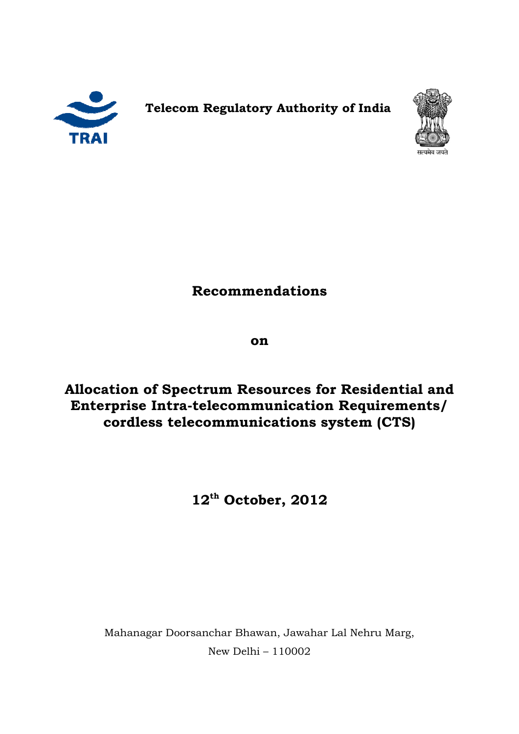

**Telecom Telecom R Regulatory Authority of India**



# **Recommendations**

**on** 

**Allocation of Spectrum Resources for Residential and**  Allocation of Spectrum Resources for Residential and<br>Enterprise Intra-telecommunication Requirements/ **cordless telecommunications system (CTS) (CTS)**

**12th October, 2012** 

Mahanagar Doorsanchar Bhawan, Jawahar Lal Nehru Marg, Bhawan, Jawahar Marg, New Delhi – 110002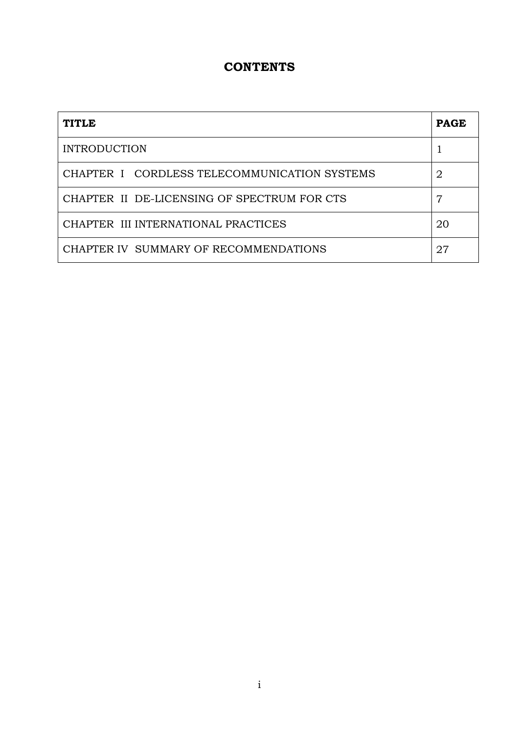## **CONTENTS**

| <b>TITLE</b>                                 | <b>PAGE</b> |
|----------------------------------------------|-------------|
| <b>INTRODUCTION</b>                          |             |
| CHAPTER I CORDLESS TELECOMMUNICATION SYSTEMS | 2           |
| CHAPTER II DE-LICENSING OF SPECTRUM FOR CTS  |             |
| CHAPTER III INTERNATIONAL PRACTICES          | 20          |
| CHAPTER IV SUMMARY OF RECOMMENDATIONS        | 27          |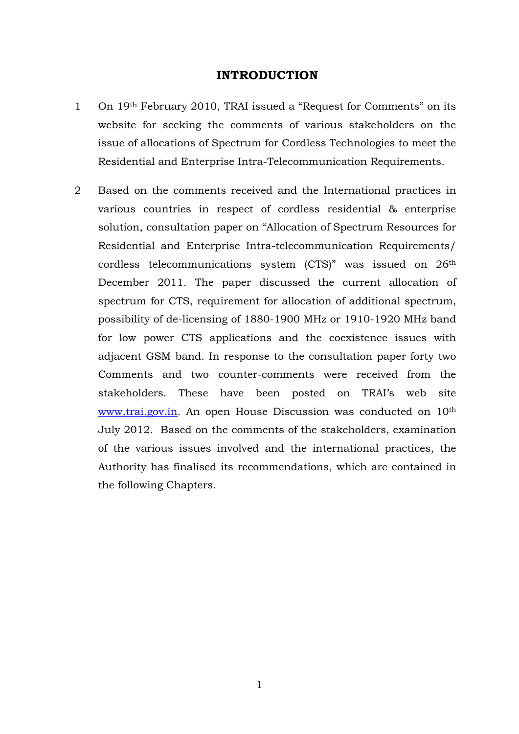#### **INTRODUCTION**

- 1 On 19th February 2010, TRAI issued a "Request for Comments" on its website for seeking the comments of various stakeholders on the issue of allocations of Spectrum for Cordless Technologies to meet the Residential and Enterprise Intra-Telecommunication Requirements.
- 2 Based on the comments received and the International practices in various countries in respect of cordless residential & enterprise solution, consultation paper on "Allocation of Spectrum Resources for Residential and Enterprise Intra-telecommunication Requirements/ cordless telecommunications system (CTS)" was issued on 26th December 2011. The paper discussed the current allocation of spectrum for CTS, requirement for allocation of additional spectrum, possibility of de-licensing of 1880-1900 MHz or 1910-1920 MHz band for low power CTS applications and the coexistence issues with adjacent GSM band. In response to the consultation paper forty two Comments and two counter-comments were received from the stakeholders. These have been posted on TRAI's web site www.trai.gov.in. An open House Discussion was conducted on 10<sup>th</sup> July 2012. Based on the comments of the stakeholders, examination of the various issues involved and the international practices, the Authority has finalised its recommendations, which are contained in the following Chapters.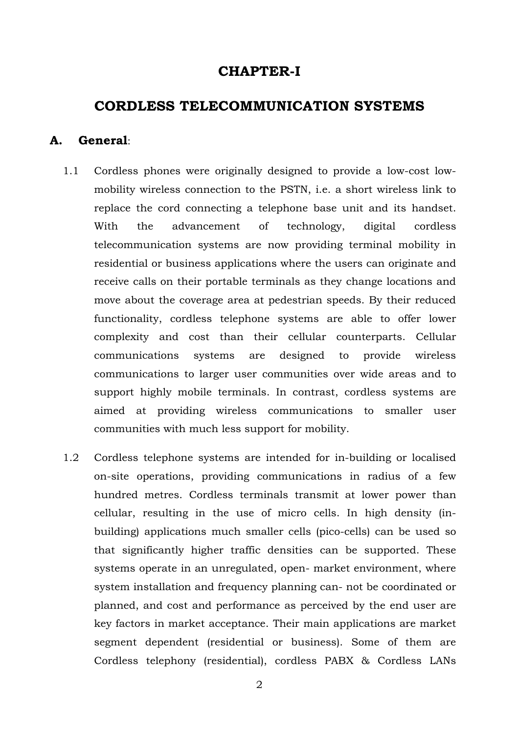## **CHAPTER-I**

## **CORDLESS TELECOMMUNICATION SYSTEMS**

#### **A. General**:

- 1.1 Cordless phones were originally designed to provide a low-cost lowmobility wireless connection to the PSTN, i.e. a short wireless link to replace the cord connecting a telephone base unit and its handset. With the advancement of technology, digital cordless telecommunication systems are now providing terminal mobility in residential or business applications where the users can originate and receive calls on their portable terminals as they change locations and move about the coverage area at pedestrian speeds. By their reduced functionality, cordless telephone systems are able to offer lower complexity and cost than their cellular counterparts. Cellular communications systems are designed to provide wireless communications to larger user communities over wide areas and to support highly mobile terminals. In contrast, cordless systems are aimed at providing wireless communications to smaller user communities with much less support for mobility.
- 1.2 Cordless telephone systems are intended for in-building or localised on-site operations, providing communications in radius of a few hundred metres. Cordless terminals transmit at lower power than cellular, resulting in the use of micro cells. In high density (inbuilding) applications much smaller cells (pico-cells) can be used so that significantly higher traffic densities can be supported. These systems operate in an unregulated, open- market environment, where system installation and frequency planning can- not be coordinated or planned, and cost and performance as perceived by the end user are key factors in market acceptance. Their main applications are market segment dependent (residential or business). Some of them are Cordless telephony (residential), cordless PABX & Cordless LANs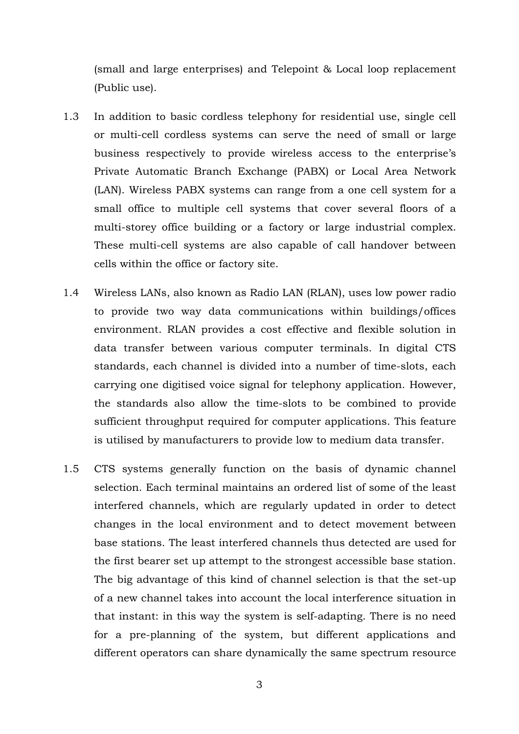(small and large enterprises) and Telepoint & Local loop replacement (Public use).

- 1.3 In addition to basic cordless telephony for residential use, single cell or multi-cell cordless systems can serve the need of small or large business respectively to provide wireless access to the enterprise's Private Automatic Branch Exchange (PABX) or Local Area Network (LAN). Wireless PABX systems can range from a one cell system for a small office to multiple cell systems that cover several floors of a multi-storey office building or a factory or large industrial complex. These multi-cell systems are also capable of call handover between cells within the office or factory site.
- 1.4 Wireless LANs, also known as Radio LAN (RLAN), uses low power radio to provide two way data communications within buildings/offices environment. RLAN provides a cost effective and flexible solution in data transfer between various computer terminals. In digital CTS standards, each channel is divided into a number of time-slots, each carrying one digitised voice signal for telephony application. However, the standards also allow the time-slots to be combined to provide sufficient throughput required for computer applications. This feature is utilised by manufacturers to provide low to medium data transfer.
- 1.5 CTS systems generally function on the basis of dynamic channel selection. Each terminal maintains an ordered list of some of the least interfered channels, which are regularly updated in order to detect changes in the local environment and to detect movement between base stations. The least interfered channels thus detected are used for the first bearer set up attempt to the strongest accessible base station. The big advantage of this kind of channel selection is that the set-up of a new channel takes into account the local interference situation in that instant: in this way the system is self-adapting. There is no need for a pre-planning of the system, but different applications and different operators can share dynamically the same spectrum resource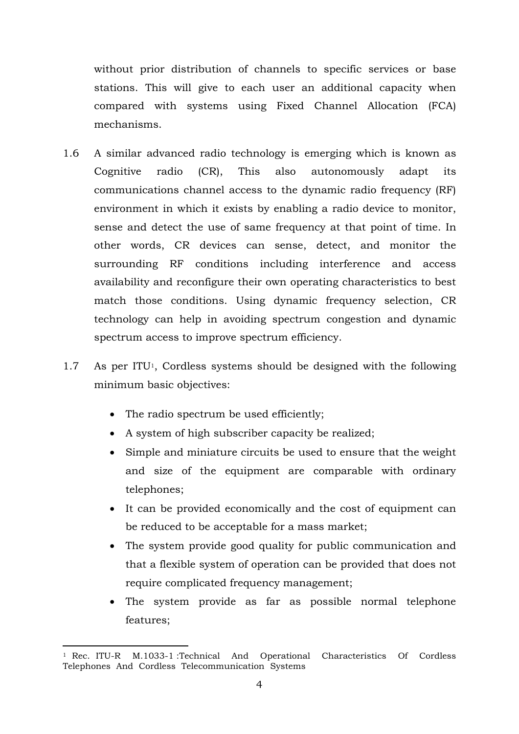without prior distribution of channels to specific services or base stations. This will give to each user an additional capacity when compared with systems using Fixed Channel Allocation (FCA) mechanisms.

- 1.6 A similar advanced radio technology is emerging which is known as Cognitive radio (CR), This also autonomously adapt its communications channel access to the dynamic radio frequency (RF) environment in which it exists by enabling a radio device to monitor, sense and detect the use of same frequency at that point of time. In other words, CR devices can sense, detect, and monitor the surrounding RF conditions including interference and access availability and reconfigure their own operating characteristics to best match those conditions. Using dynamic frequency selection, CR technology can help in avoiding spectrum congestion and dynamic spectrum access to improve spectrum efficiency.
- 1.7 As per ITU<sup>1</sup>, Cordless systems should be designed with the following minimum basic objectives:
	- The radio spectrum be used efficiently;
	- A system of high subscriber capacity be realized;
	- Simple and miniature circuits be used to ensure that the weight and size of the equipment are comparable with ordinary telephones;
	- It can be provided economically and the cost of equipment can be reduced to be acceptable for a mass market;
	- The system provide good quality for public communication and that a flexible system of operation can be provided that does not require complicated frequency management;
	- The system provide as far as possible normal telephone features;

<sup>-</sup><sup>1</sup> Rec. ITU-R M.1033-1 :Technical And Operational Characteristics Of Cordless Telephones And Cordless Telecommunication Systems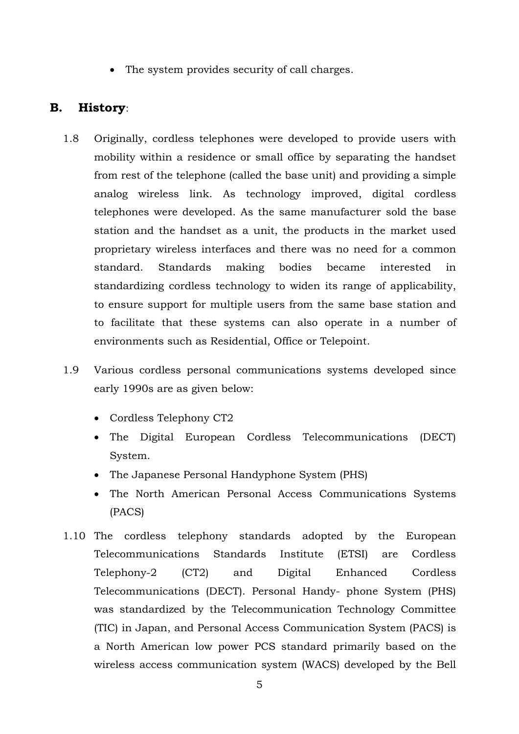• The system provides security of call charges.

### **B. History**:

- 1.8 Originally, cordless telephones were developed to provide users with mobility within a residence or small office by separating the handset from rest of the telephone (called the base unit) and providing a simple analog wireless link. As technology improved, digital cordless telephones were developed. As the same manufacturer sold the base station and the handset as a unit, the products in the market used proprietary wireless interfaces and there was no need for a common standard. Standards making bodies became interested in standardizing cordless technology to widen its range of applicability, to ensure support for multiple users from the same base station and to facilitate that these systems can also operate in a number of environments such as Residential, Office or Telepoint.
- 1.9 Various cordless personal communications systems developed since early 1990s are as given below:
	- Cordless Telephony CT2
	- The Digital European Cordless Telecommunications (DECT) System.
	- The Japanese Personal Handyphone System (PHS)
	- The North American Personal Access Communications Systems (PACS)
- 1.10 The cordless telephony standards adopted by the European Telecommunications Standards Institute (ETSI) are Cordless Telephony-2 (CT2) and Digital Enhanced Cordless Telecommunications (DECT). Personal Handy- phone System (PHS) was standardized by the Telecommunication Technology Committee (TIC) in Japan, and Personal Access Communication System (PACS) is a North American low power PCS standard primarily based on the wireless access communication system (WACS) developed by the Bell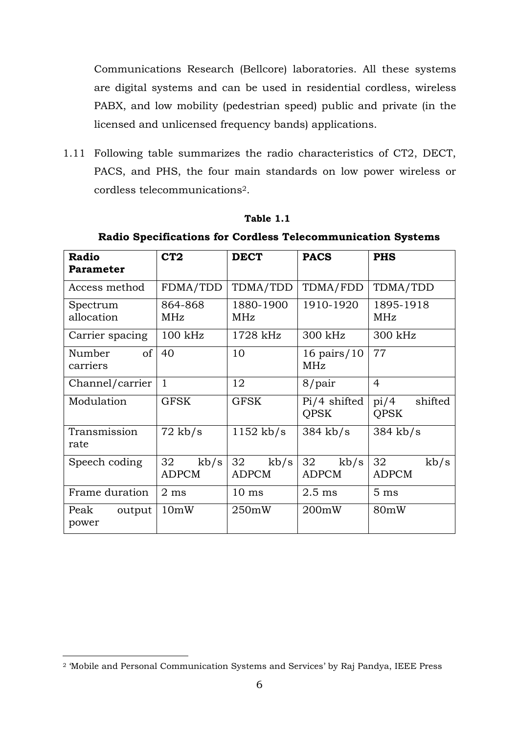Communications Research (Bellcore) laboratories. All these systems are digital systems and can be used in residential cordless, wireless PABX, and low mobility (pedestrian speed) public and private (in the licensed and unlicensed frequency bands) applications.

1.11 Following table summarizes the radio characteristics of CT2, DECT, PACS, and PHS, the four main standards on low power wireless or cordless telecommunications<sup>2</sup>.

| Radio<br>Parameter                  | CT2                        | <b>DECT</b>                | <b>PACS</b>                   | <b>PHS</b>                     |
|-------------------------------------|----------------------------|----------------------------|-------------------------------|--------------------------------|
| Access method                       | FDMA/TDD                   | TDMA/TDD                   | TDMA/FDD                      | TDMA/TDD                       |
| Spectrum<br>allocation              | 864-868<br>MHz             | 1880-1900<br>MHz           | 1910-1920                     | 1895-1918<br>MHz               |
| Carrier spacing                     | $100$ kHz                  | 1728 kHz                   | 300 kHz                       | 300 kHz                        |
| <sub>of</sub><br>Number<br>carriers | 40                         | 10                         | 16 pairs/ $10$<br>MHz         | 77                             |
| Channel/carrier                     | $\mathbf{1}$               | 12                         | 8/pair                        | $\overline{4}$                 |
| Modulation                          | <b>GFSK</b>                | <b>GFSK</b>                | $Pi/4$ shifted<br><b>OPSK</b> | pi/4<br>shifted<br><b>OPSK</b> |
| Transmission<br>rate                | $72$ kb/s                  | $1152$ kb/s                | $384$ kb/s                    | $384$ kb/s                     |
| Speech coding                       | 32<br>kb/s<br><b>ADPCM</b> | 32<br>kb/s<br><b>ADPCM</b> | 32<br>kb/s<br><b>ADPCM</b>    | 32<br>kb/s<br><b>ADPCM</b>     |
| Frame duration                      | $2 \text{ ms}$             | $10 \text{ ms}$            | $2.5$ ms                      | 5 <sub>ms</sub>                |
| Peak<br>output<br>power             | 10mW                       | 250mW                      | 200mW                         | 80mW                           |

#### **Table 1.1**

**Radio Specifications for Cordless Telecommunication Systems** 

-

<sup>2</sup> 'Mobile and Personal Communication Systems and Services' by Raj Pandya, IEEE Press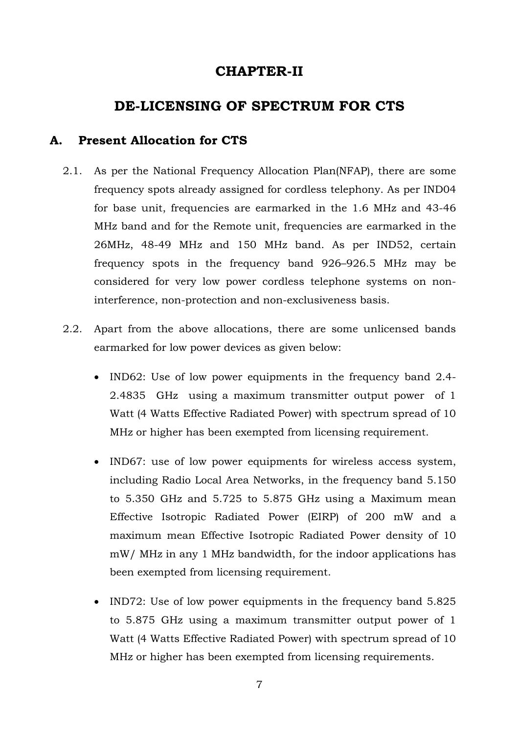## **CHAPTER-II**

## **DE-LICENSING OF SPECTRUM FOR CTS**

## **A. Present Allocation for CTS**

- 2.1. As per the National Frequency Allocation Plan(NFAP), there are some frequency spots already assigned for cordless telephony. As per IND04 for base unit, frequencies are earmarked in the 1.6 MHz and 43-46 MHz band and for the Remote unit, frequencies are earmarked in the 26MHz, 48-49 MHz and 150 MHz band. As per IND52, certain frequency spots in the frequency band 926–926.5 MHz may be considered for very low power cordless telephone systems on noninterference, non-protection and non-exclusiveness basis.
- 2.2. Apart from the above allocations, there are some unlicensed bands earmarked for low power devices as given below:
	- IND62: Use of low power equipments in the frequency band 2.4-2.4835 GHz using a maximum transmitter output power of 1 Watt (4 Watts Effective Radiated Power) with spectrum spread of 10 MHz or higher has been exempted from licensing requirement.
	- IND67: use of low power equipments for wireless access system, including Radio Local Area Networks, in the frequency band 5.150 to 5.350 GHz and 5.725 to 5.875 GHz using a Maximum mean Effective Isotropic Radiated Power (EIRP) of 200 mW and a maximum mean Effective Isotropic Radiated Power density of 10 mW/ MHz in any 1 MHz bandwidth, for the indoor applications has been exempted from licensing requirement.
	- IND72: Use of low power equipments in the frequency band 5.825 to 5.875 GHz using a maximum transmitter output power of 1 Watt (4 Watts Effective Radiated Power) with spectrum spread of 10 MHz or higher has been exempted from licensing requirements.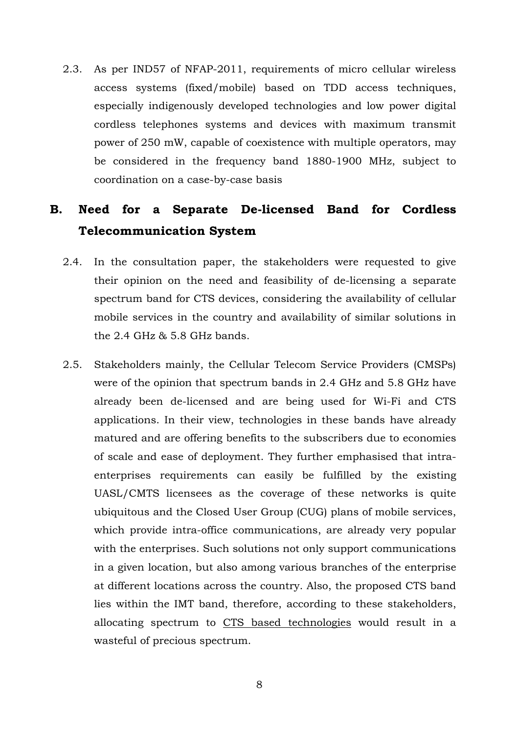2.3. As per IND57 of NFAP-2011, requirements of micro cellular wireless access systems (fixed/mobile) based on TDD access techniques, especially indigenously developed technologies and low power digital cordless telephones systems and devices with maximum transmit power of 250 mW, capable of coexistence with multiple operators, may be considered in the frequency band 1880-1900 MHz, subject to coordination on a case-by-case basis

# **B. Need for a Separate De-licensed Band for Cordless Telecommunication System**

- 2.4. In the consultation paper, the stakeholders were requested to give their opinion on the need and feasibility of de-licensing a separate spectrum band for CTS devices, considering the availability of cellular mobile services in the country and availability of similar solutions in the 2.4 GHz & 5.8 GHz bands.
- 2.5. Stakeholders mainly, the Cellular Telecom Service Providers (CMSPs) were of the opinion that spectrum bands in 2.4 GHz and 5.8 GHz have already been de-licensed and are being used for Wi-Fi and CTS applications. In their view, technologies in these bands have already matured and are offering benefits to the subscribers due to economies of scale and ease of deployment. They further emphasised that intraenterprises requirements can easily be fulfilled by the existing UASL/CMTS licensees as the coverage of these networks is quite ubiquitous and the Closed User Group (CUG) plans of mobile services, which provide intra-office communications, are already very popular with the enterprises. Such solutions not only support communications in a given location, but also among various branches of the enterprise at different locations across the country. Also, the proposed CTS band lies within the IMT band, therefore, according to these stakeholders, allocating spectrum to CTS based technologies would result in a wasteful of precious spectrum.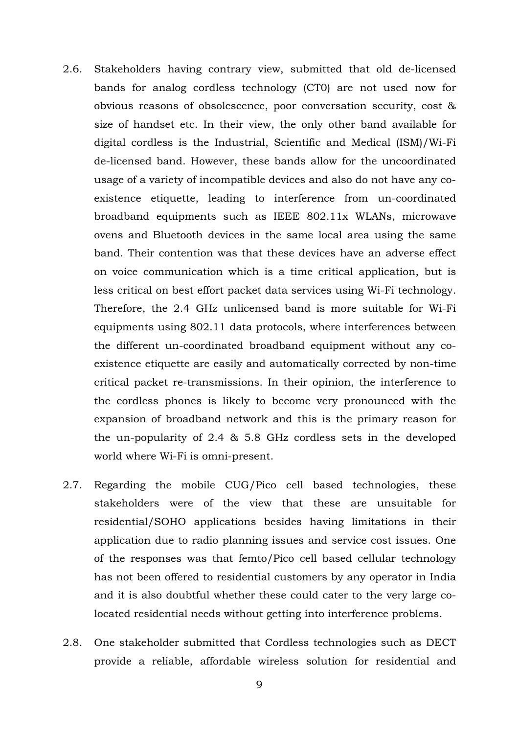- 2.6. Stakeholders having contrary view, submitted that old de-licensed bands for analog cordless technology (CT0) are not used now for obvious reasons of obsolescence, poor conversation security, cost & size of handset etc. In their view, the only other band available for digital cordless is the Industrial, Scientific and Medical (ISM)/Wi-Fi de-licensed band. However, these bands allow for the uncoordinated usage of a variety of incompatible devices and also do not have any coexistence etiquette, leading to interference from un-coordinated broadband equipments such as IEEE 802.11x WLANs, microwave ovens and Bluetooth devices in the same local area using the same band. Their contention was that these devices have an adverse effect on voice communication which is a time critical application, but is less critical on best effort packet data services using Wi-Fi technology. Therefore, the 2.4 GHz unlicensed band is more suitable for Wi-Fi equipments using 802.11 data protocols, where interferences between the different un-coordinated broadband equipment without any coexistence etiquette are easily and automatically corrected by non-time critical packet re-transmissions. In their opinion, the interference to the cordless phones is likely to become very pronounced with the expansion of broadband network and this is the primary reason for the un-popularity of 2.4 & 5.8 GHz cordless sets in the developed world where Wi-Fi is omni-present.
- 2.7. Regarding the mobile CUG/Pico cell based technologies, these stakeholders were of the view that these are unsuitable for residential/SOHO applications besides having limitations in their application due to radio planning issues and service cost issues. One of the responses was that femto/Pico cell based cellular technology has not been offered to residential customers by any operator in India and it is also doubtful whether these could cater to the very large colocated residential needs without getting into interference problems.
- 2.8. One stakeholder submitted that Cordless technologies such as DECT provide a reliable, affordable wireless solution for residential and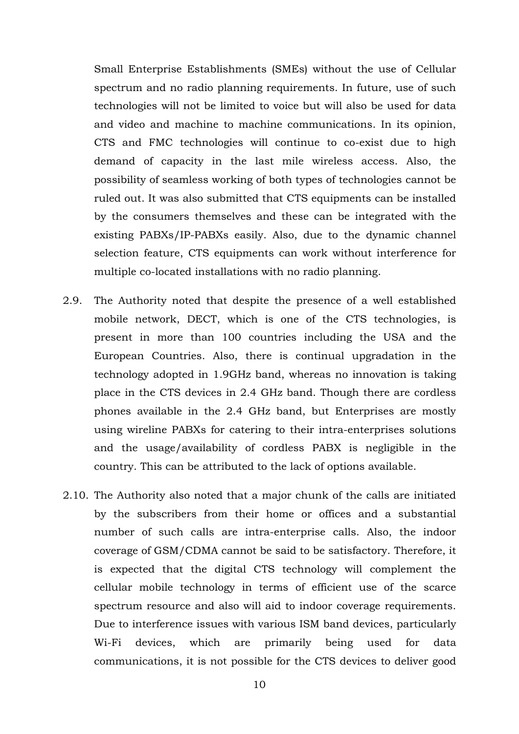Small Enterprise Establishments (SMEs) without the use of Cellular spectrum and no radio planning requirements. In future, use of such technologies will not be limited to voice but will also be used for data and video and machine to machine communications. In its opinion, CTS and FMC technologies will continue to co-exist due to high demand of capacity in the last mile wireless access. Also, the possibility of seamless working of both types of technologies cannot be ruled out. It was also submitted that CTS equipments can be installed by the consumers themselves and these can be integrated with the existing PABXs/IP-PABXs easily. Also, due to the dynamic channel selection feature, CTS equipments can work without interference for multiple co-located installations with no radio planning.

- 2.9. The Authority noted that despite the presence of a well established mobile network, DECT, which is one of the CTS technologies, is present in more than 100 countries including the USA and the European Countries. Also, there is continual upgradation in the technology adopted in 1.9GHz band, whereas no innovation is taking place in the CTS devices in 2.4 GHz band. Though there are cordless phones available in the 2.4 GHz band, but Enterprises are mostly using wireline PABXs for catering to their intra-enterprises solutions and the usage/availability of cordless PABX is negligible in the country. This can be attributed to the lack of options available.
- 2.10. The Authority also noted that a major chunk of the calls are initiated by the subscribers from their home or offices and a substantial number of such calls are intra-enterprise calls. Also, the indoor coverage of GSM/CDMA cannot be said to be satisfactory. Therefore, it is expected that the digital CTS technology will complement the cellular mobile technology in terms of efficient use of the scarce spectrum resource and also will aid to indoor coverage requirements. Due to interference issues with various ISM band devices, particularly Wi-Fi devices, which are primarily being used for data communications, it is not possible for the CTS devices to deliver good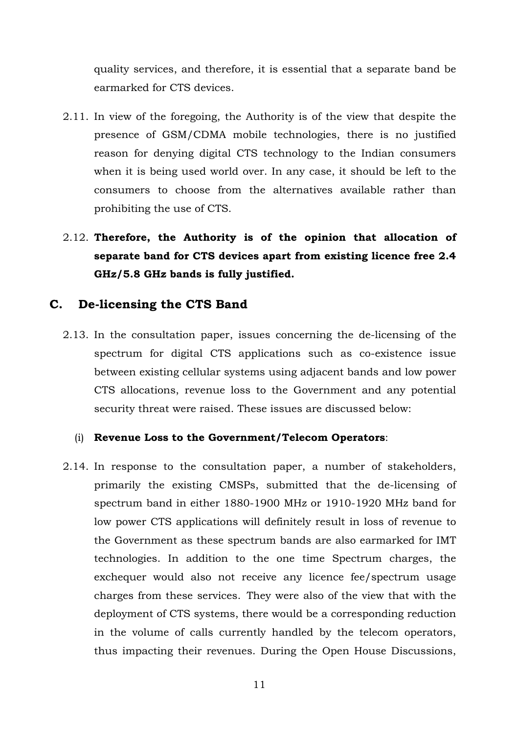quality services, and therefore, it is essential that a separate band be earmarked for CTS devices.

- 2.11. In view of the foregoing, the Authority is of the view that despite the presence of GSM/CDMA mobile technologies, there is no justified reason for denying digital CTS technology to the Indian consumers when it is being used world over. In any case, it should be left to the consumers to choose from the alternatives available rather than prohibiting the use of CTS.
- 2.12. **Therefore, the Authority is of the opinion that allocation of separate band for CTS devices apart from existing licence free 2.4 GHz/5.8 GHz bands is fully justified.**

### **C. De-licensing the CTS Band**

2.13. In the consultation paper, issues concerning the de-licensing of the spectrum for digital CTS applications such as co-existence issue between existing cellular systems using adjacent bands and low power CTS allocations, revenue loss to the Government and any potential security threat were raised. These issues are discussed below:

#### (i) **Revenue Loss to the Government/Telecom Operators**:

2.14. In response to the consultation paper, a number of stakeholders, primarily the existing CMSPs, submitted that the de-licensing of spectrum band in either 1880-1900 MHz or 1910-1920 MHz band for low power CTS applications will definitely result in loss of revenue to the Government as these spectrum bands are also earmarked for IMT technologies. In addition to the one time Spectrum charges, the exchequer would also not receive any licence fee/spectrum usage charges from these services. They were also of the view that with the deployment of CTS systems, there would be a corresponding reduction in the volume of calls currently handled by the telecom operators, thus impacting their revenues. During the Open House Discussions,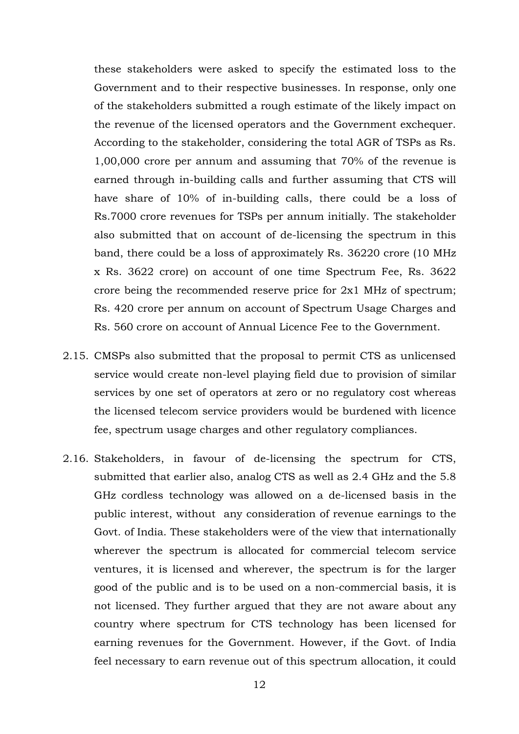these stakeholders were asked to specify the estimated loss to the Government and to their respective businesses. In response, only one of the stakeholders submitted a rough estimate of the likely impact on the revenue of the licensed operators and the Government exchequer. According to the stakeholder, considering the total AGR of TSPs as Rs. 1,00,000 crore per annum and assuming that 70% of the revenue is earned through in-building calls and further assuming that CTS will have share of 10% of in-building calls, there could be a loss of Rs.7000 crore revenues for TSPs per annum initially. The stakeholder also submitted that on account of de-licensing the spectrum in this band, there could be a loss of approximately Rs. 36220 crore (10 MHz x Rs. 3622 crore) on account of one time Spectrum Fee, Rs. 3622 crore being the recommended reserve price for 2x1 MHz of spectrum; Rs. 420 crore per annum on account of Spectrum Usage Charges and Rs. 560 crore on account of Annual Licence Fee to the Government.

- 2.15. CMSPs also submitted that the proposal to permit CTS as unlicensed service would create non-level playing field due to provision of similar services by one set of operators at zero or no regulatory cost whereas the licensed telecom service providers would be burdened with licence fee, spectrum usage charges and other regulatory compliances.
- 2.16. Stakeholders, in favour of de-licensing the spectrum for CTS, submitted that earlier also, analog CTS as well as 2.4 GHz and the 5.8 GHz cordless technology was allowed on a de-licensed basis in the public interest, without any consideration of revenue earnings to the Govt. of India. These stakeholders were of the view that internationally wherever the spectrum is allocated for commercial telecom service ventures, it is licensed and wherever, the spectrum is for the larger good of the public and is to be used on a non-commercial basis, it is not licensed. They further argued that they are not aware about any country where spectrum for CTS technology has been licensed for earning revenues for the Government. However, if the Govt. of India feel necessary to earn revenue out of this spectrum allocation, it could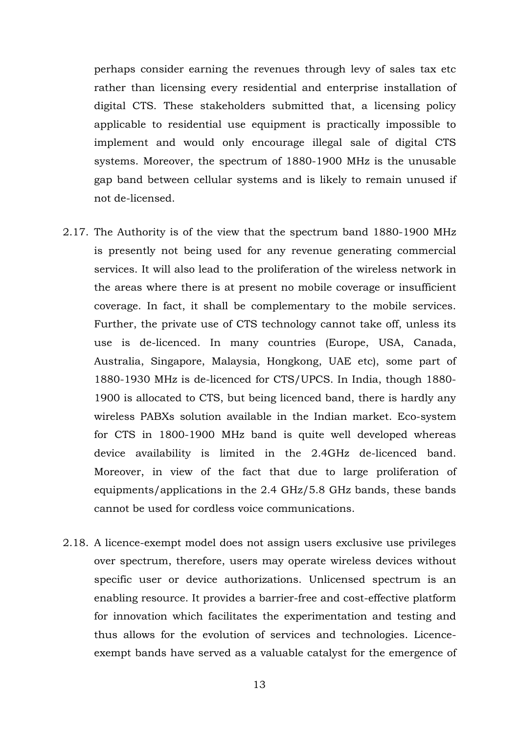perhaps consider earning the revenues through levy of sales tax etc rather than licensing every residential and enterprise installation of digital CTS. These stakeholders submitted that, a licensing policy applicable to residential use equipment is practically impossible to implement and would only encourage illegal sale of digital CTS systems. Moreover, the spectrum of 1880-1900 MHz is the unusable gap band between cellular systems and is likely to remain unused if not de-licensed.

- 2.17. The Authority is of the view that the spectrum band 1880-1900 MHz is presently not being used for any revenue generating commercial services. It will also lead to the proliferation of the wireless network in the areas where there is at present no mobile coverage or insufficient coverage. In fact, it shall be complementary to the mobile services. Further, the private use of CTS technology cannot take off, unless its use is de-licenced. In many countries (Europe, USA, Canada, Australia, Singapore, Malaysia, Hongkong, UAE etc), some part of 1880-1930 MHz is de-licenced for CTS/UPCS. In India, though 1880- 1900 is allocated to CTS, but being licenced band, there is hardly any wireless PABXs solution available in the Indian market. Eco-system for CTS in 1800-1900 MHz band is quite well developed whereas device availability is limited in the 2.4GHz de-licenced band. Moreover, in view of the fact that due to large proliferation of equipments/applications in the 2.4 GHz/5.8 GHz bands, these bands cannot be used for cordless voice communications.
- 2.18. A licence-exempt model does not assign users exclusive use privileges over spectrum, therefore, users may operate wireless devices without specific user or device authorizations. Unlicensed spectrum is an enabling resource. It provides a barrier-free and cost-effective platform for innovation which facilitates the experimentation and testing and thus allows for the evolution of services and technologies. Licenceexempt bands have served as a valuable catalyst for the emergence of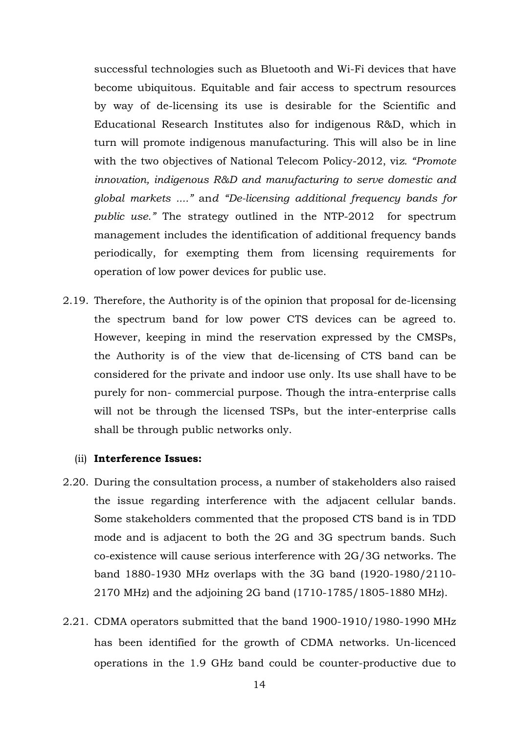successful technologies such as Bluetooth and Wi-Fi devices that have become ubiquitous. Equitable and fair access to spectrum resources by way of de-licensing its use is desirable for the Scientific and Educational Research Institutes also for indigenous R&D, which in turn will promote indigenous manufacturing. This will also be in line with the two objectives of National Telecom Policy-2012, vi*z. "Promote innovation, indigenous R&D and manufacturing to serve domestic and global markets ...."* an*d "De-licensing additional frequency bands for public use."* The strategy outlined in the NTP-2012 for spectrum management includes the identification of additional frequency bands periodically, for exempting them from licensing requirements for operation of low power devices for public use.

2.19. Therefore, the Authority is of the opinion that proposal for de-licensing the spectrum band for low power CTS devices can be agreed to. However, keeping in mind the reservation expressed by the CMSPs, the Authority is of the view that de-licensing of CTS band can be considered for the private and indoor use only. Its use shall have to be purely for non- commercial purpose. Though the intra-enterprise calls will not be through the licensed TSPs, but the inter-enterprise calls shall be through public networks only.

#### (ii) **Interference Issues:**

- 2.20. During the consultation process, a number of stakeholders also raised the issue regarding interference with the adjacent cellular bands. Some stakeholders commented that the proposed CTS band is in TDD mode and is adjacent to both the 2G and 3G spectrum bands. Such co-existence will cause serious interference with 2G/3G networks. The band 1880-1930 MHz overlaps with the 3G band (1920-1980/2110- 2170 MHz) and the adjoining 2G band (1710-1785/1805-1880 MHz).
- 2.21. CDMA operators submitted that the band 1900-1910/1980-1990 MHz has been identified for the growth of CDMA networks. Un-licenced operations in the 1.9 GHz band could be counter-productive due to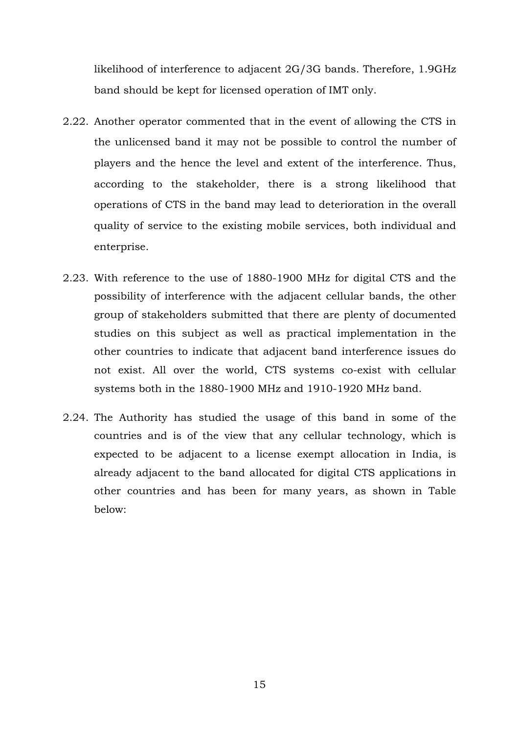likelihood of interference to adjacent 2G/3G bands. Therefore, 1.9GHz band should be kept for licensed operation of IMT only.

- 2.22. Another operator commented that in the event of allowing the CTS in the unlicensed band it may not be possible to control the number of players and the hence the level and extent of the interference. Thus, according to the stakeholder, there is a strong likelihood that operations of CTS in the band may lead to deterioration in the overall quality of service to the existing mobile services, both individual and enterprise.
- 2.23. With reference to the use of 1880-1900 MHz for digital CTS and the possibility of interference with the adjacent cellular bands, the other group of stakeholders submitted that there are plenty of documented studies on this subject as well as practical implementation in the other countries to indicate that adjacent band interference issues do not exist. All over the world, CTS systems co-exist with cellular systems both in the 1880-1900 MHz and 1910-1920 MHz band.
- 2.24. The Authority has studied the usage of this band in some of the countries and is of the view that any cellular technology, which is expected to be adjacent to a license exempt allocation in India, is already adjacent to the band allocated for digital CTS applications in other countries and has been for many years, as shown in Table below:

15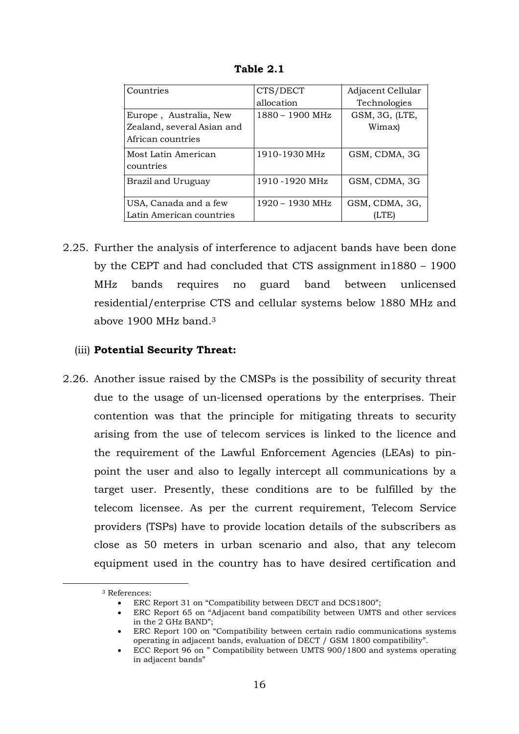| Countries                  | CTS/DECT        | Adjacent Cellular |
|----------------------------|-----------------|-------------------|
|                            | allocation      | Technologies      |
| Europe, Australia, New     | 1880 - 1900 MHz | GSM, 3G, (LTE,    |
| Zealand, several Asian and |                 | Wimax)            |
| African countries          |                 |                   |
| Most Latin American        | 1910-1930 MHz   | GSM, CDMA, 3G     |
| countries                  |                 |                   |
| Brazil and Uruguay         | 1910 -1920 MHz  | GSM, CDMA, 3G     |
|                            |                 |                   |
| USA, Canada and a few      | 1920 – 1930 MHz | GSM, CDMA, 3G,    |
| Latin American countries   |                 |                   |

**Table 2.1** 

2.25. Further the analysis of interference to adjacent bands have been done by the CEPT and had concluded that CTS assignment in1880 – 1900 MHz bands requires no guard band between unlicensed residential/enterprise CTS and cellular systems below 1880 MHz and above 1900 MHz band.<sup>3</sup>

#### (iii) **Potential Security Threat:**

2.26. Another issue raised by the CMSPs is the possibility of security threat due to the usage of un-licensed operations by the enterprises. Their contention was that the principle for mitigating threats to security arising from the use of telecom services is linked to the licence and the requirement of the Lawful Enforcement Agencies (LEAs) to pinpoint the user and also to legally intercept all communications by a target user. Presently, these conditions are to be fulfilled by the telecom licensee. As per the current requirement, Telecom Service providers (TSPs) have to provide location details of the subscribers as close as 50 meters in urban scenario and also, that any telecom equipment used in the country has to have desired certification and

-

<sup>3</sup> References:

<sup>•</sup> ERC Report 31 on "Compatibility between DECT and DCS1800";

<sup>•</sup> ERC Report 65 on "Adjacent band compatibility between UMTS and other services in the 2 GHz BAND";

<sup>•</sup> ERC Report 100 on "Compatibility between certain radio communications systems operating in adjacent bands, evaluation of DECT / GSM 1800 compatibility".

<sup>•</sup> ECC Report 96 on " Compatibility between UMTS 900/1800 and systems operating in adjacent bands"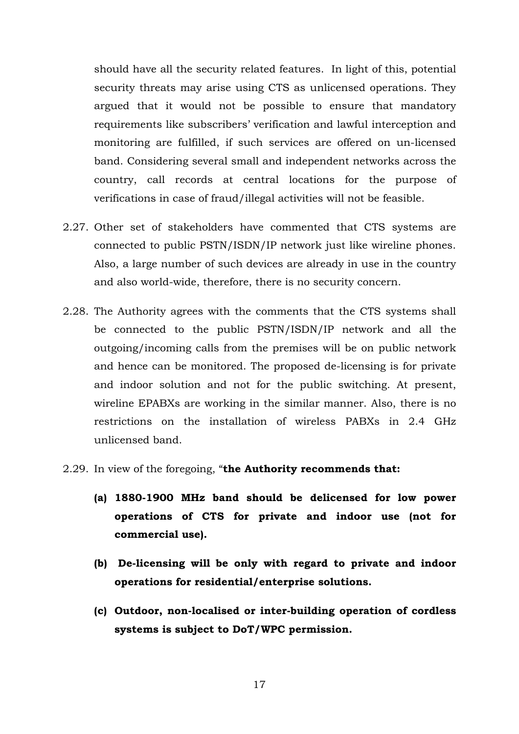should have all the security related features. In light of this, potential security threats may arise using CTS as unlicensed operations. They argued that it would not be possible to ensure that mandatory requirements like subscribers' verification and lawful interception and monitoring are fulfilled, if such services are offered on un-licensed band. Considering several small and independent networks across the country, call records at central locations for the purpose of verifications in case of fraud/illegal activities will not be feasible.

- 2.27. Other set of stakeholders have commented that CTS systems are connected to public PSTN/ISDN/IP network just like wireline phones. Also, a large number of such devices are already in use in the country and also world-wide, therefore, there is no security concern.
- 2.28. The Authority agrees with the comments that the CTS systems shall be connected to the public PSTN/ISDN/IP network and all the outgoing/incoming calls from the premises will be on public network and hence can be monitored. The proposed de-licensing is for private and indoor solution and not for the public switching. At present, wireline EPABXs are working in the similar manner. Also, there is no restrictions on the installation of wireless PABXs in 2.4 GHz unlicensed band.
- 2.29. In view of the foregoing, "**the Authority recommends that:** 
	- **(a) 1880-1900 MHz band should be delicensed for low power operations of CTS for private and indoor use (not for commercial use).**
	- **(b) De-licensing will be only with regard to private and indoor operations for residential/enterprise solutions.**
	- **(c) Outdoor, non-localised or inter-building operation of cordless systems is subject to DoT/WPC permission.**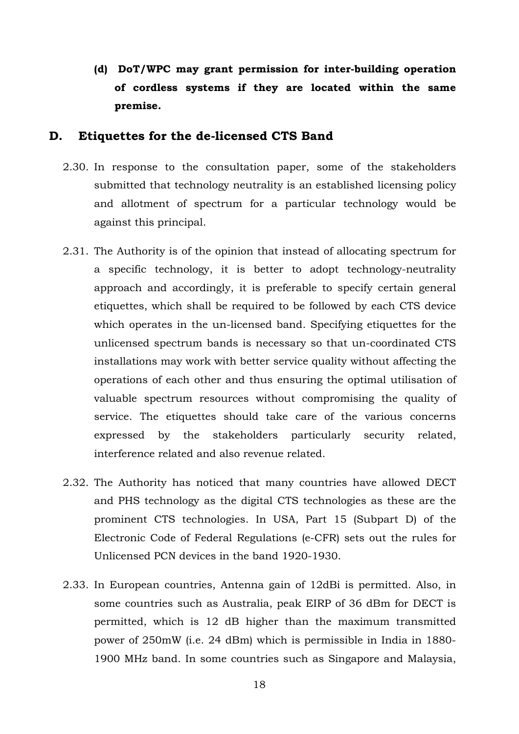**(d) DoT/WPC may grant permission for inter-building operation of cordless systems if they are located within the same premise.** 

#### **D. Etiquettes for the de-licensed CTS Band**

- 2.30. In response to the consultation paper, some of the stakeholders submitted that technology neutrality is an established licensing policy and allotment of spectrum for a particular technology would be against this principal.
- 2.31. The Authority is of the opinion that instead of allocating spectrum for a specific technology, it is better to adopt technology-neutrality approach and accordingly, it is preferable to specify certain general etiquettes, which shall be required to be followed by each CTS device which operates in the un-licensed band. Specifying etiquettes for the unlicensed spectrum bands is necessary so that un-coordinated CTS installations may work with better service quality without affecting the operations of each other and thus ensuring the optimal utilisation of valuable spectrum resources without compromising the quality of service. The etiquettes should take care of the various concerns expressed by the stakeholders particularly security related, interference related and also revenue related.
- 2.32. The Authority has noticed that many countries have allowed DECT and PHS technology as the digital CTS technologies as these are the prominent CTS technologies. In USA, Part 15 (Subpart D) of the Electronic Code of Federal Regulations (e-CFR) sets out the rules for Unlicensed PCN devices in the band 1920-1930.
- 2.33. In European countries, Antenna gain of 12dBi is permitted. Also, in some countries such as Australia, peak EIRP of 36 dBm for DECT is permitted, which is 12 dB higher than the maximum transmitted power of 250mW (i.e. 24 dBm) which is permissible in India in 1880- 1900 MHz band. In some countries such as Singapore and Malaysia,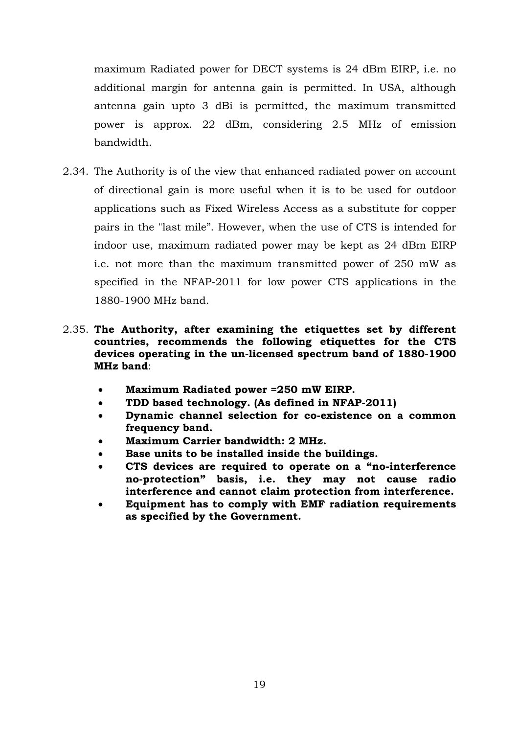maximum Radiated power for DECT systems is 24 dBm EIRP, i.e. no additional margin for antenna gain is permitted. In USA, although antenna gain upto 3 dBi is permitted, the maximum transmitted power is approx. 22 dBm, considering 2.5 MHz of emission bandwidth.

- 2.34. The Authority is of the view that enhanced radiated power on account of directional gain is more useful when it is to be used for outdoor applications such as Fixed Wireless Access as a substitute for copper pairs in the "last mile". However, when the use of CTS is intended for indoor use, maximum radiated power may be kept as 24 dBm EIRP i.e. not more than the maximum transmitted power of 250 mW as specified in the NFAP-2011 for low power CTS applications in the 1880-1900 MHz band.
- 2.35. **The Authority, after examining the etiquettes set by different countries, recommends the following etiquettes for the CTS devices operating in the un-licensed spectrum band of 1880-1900 MHz band**:
	- **Maximum Radiated power =250 mW EIRP.**
	- **TDD based technology. (As defined in NFAP-2011)**
	- **Dynamic channel selection for co-existence on a common frequency band.**
	- **Maximum Carrier bandwidth: 2 MHz.**
	- **Base units to be installed inside the buildings.**
	- **CTS devices are required to operate on a "no-interference no-protection" basis, i.e. they may not cause radio interference and cannot claim protection from interference.**
	- **Equipment has to comply with EMF radiation requirements as specified by the Government.**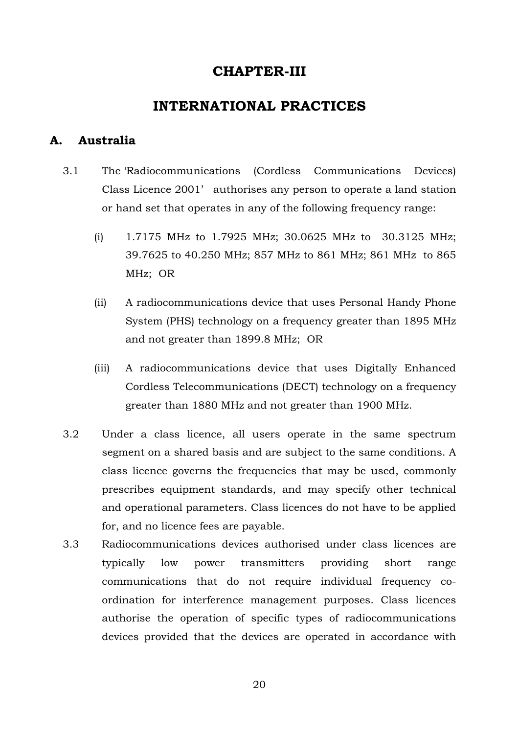## **CHAPTER-III**

## **INTERNATIONAL PRACTICES**

### **A. Australia**

- 3.1 The 'Radiocommunications (Cordless Communications Devices) Class Licence 2001' authorises any person to operate a land station or hand set that operates in any of the following frequency range:
	- (i) 1.7175 MHz to 1.7925 MHz; 30.0625 MHz to 30.3125 MHz; 39.7625 to 40.250 MHz; 857 MHz to 861 MHz; 861 MHz to 865 MHz; OR
	- (ii) A radiocommunications device that uses Personal Handy Phone System (PHS) technology on a frequency greater than 1895 MHz and not greater than 1899.8 MHz; OR
	- (iii) A radiocommunications device that uses Digitally Enhanced Cordless Telecommunications (DECT) technology on a frequency greater than 1880 MHz and not greater than 1900 MHz.
- 3.2 Under a class licence, all users operate in the same spectrum segment on a shared basis and are subject to the same conditions. A class licence governs the frequencies that may be used, commonly prescribes equipment standards, and may specify other technical and operational parameters. Class licences do not have to be applied for, and no licence fees are payable.
- 3.3 Radiocommunications devices authorised under class licences are typically low power transmitters providing short range communications that do not require individual frequency coordination for interference management purposes. Class licences authorise the operation of specific types of radiocommunications devices provided that the devices are operated in accordance with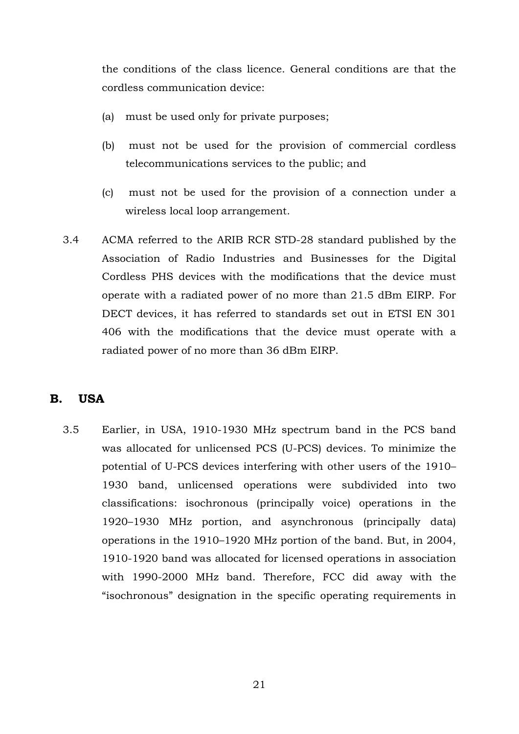the conditions of the class licence. General conditions are that the cordless communication device:

- (a) must be used only for private purposes;
- (b) must not be used for the provision of commercial cordless telecommunications services to the public; and
- (c) must not be used for the provision of a connection under a wireless local loop arrangement.
- 3.4 ACMA referred to the ARIB RCR STD-28 standard published by the Association of Radio Industries and Businesses for the Digital Cordless PHS devices with the modifications that the device must operate with a radiated power of no more than 21.5 dBm EIRP. For DECT devices, it has referred to standards set out in ETSI EN 301 406 with the modifications that the device must operate with a radiated power of no more than 36 dBm EIRP.

## **B. USA**

3.5 Earlier, in USA, 1910-1930 MHz spectrum band in the PCS band was allocated for unlicensed PCS (U-PCS) devices. To minimize the potential of U-PCS devices interfering with other users of the 1910– 1930 band, unlicensed operations were subdivided into two classifications: isochronous (principally voice) operations in the 1920–1930 MHz portion, and asynchronous (principally data) operations in the 1910–1920 MHz portion of the band. But, in 2004, 1910-1920 band was allocated for licensed operations in association with 1990-2000 MHz band. Therefore, FCC did away with the "isochronous" designation in the specific operating requirements in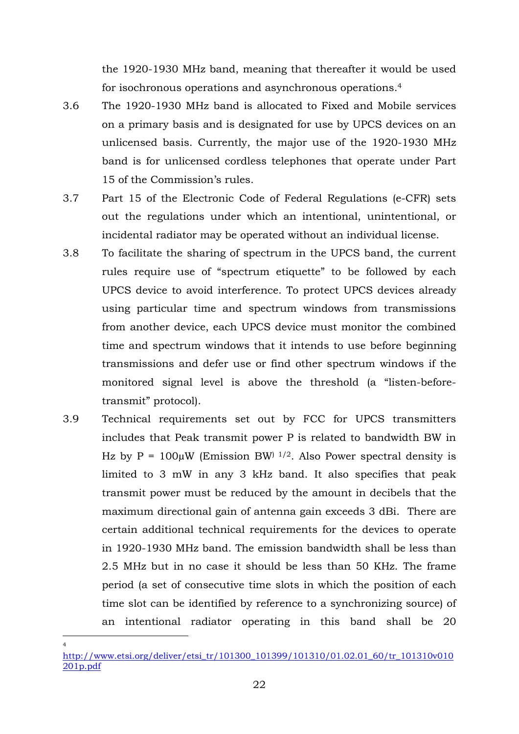the 1920-1930 MHz band, meaning that thereafter it would be used for isochronous operations and asynchronous operations.<sup>4</sup>

- 3.6 The 1920-1930 MHz band is allocated to Fixed and Mobile services on a primary basis and is designated for use by UPCS devices on an unlicensed basis. Currently, the major use of the 1920-1930 MHz band is for unlicensed cordless telephones that operate under Part 15 of the Commission's rules.
- 3.7 Part 15 of the Electronic Code of Federal Regulations (e-CFR) sets out the regulations under which an intentional, unintentional, or incidental radiator may be operated without an individual license.
- 3.8 To facilitate the sharing of spectrum in the UPCS band, the current rules require use of "spectrum etiquette" to be followed by each UPCS device to avoid interference. To protect UPCS devices already using particular time and spectrum windows from transmissions from another device, each UPCS device must monitor the combined time and spectrum windows that it intends to use before beginning transmissions and defer use or find other spectrum windows if the monitored signal level is above the threshold (a "listen-beforetransmit" protocol).
- 3.9 Technical requirements set out by FCC for UPCS transmitters includes that Peak transmit power P is related to bandwidth BW in Hz by  $P = 100\mu W$  (Emission BW)  $1/2$ . Also Power spectral density is limited to 3 mW in any 3 kHz band. It also specifies that peak transmit power must be reduced by the amount in decibels that the maximum directional gain of antenna gain exceeds 3 dBi. There are certain additional technical requirements for the devices to operate in 1920-1930 MHz band. The emission bandwidth shall be less than 2.5 MHz but in no case it should be less than 50 KHz. The frame period (a set of consecutive time slots in which the position of each time slot can be identified by reference to a synchronizing source) of an intentional radiator operating in this band shall be 20

-4

http://www.etsi.org/deliver/etsi\_tr/101300\_101399/101310/01.02.01\_60/tr\_101310v010 201p.pdf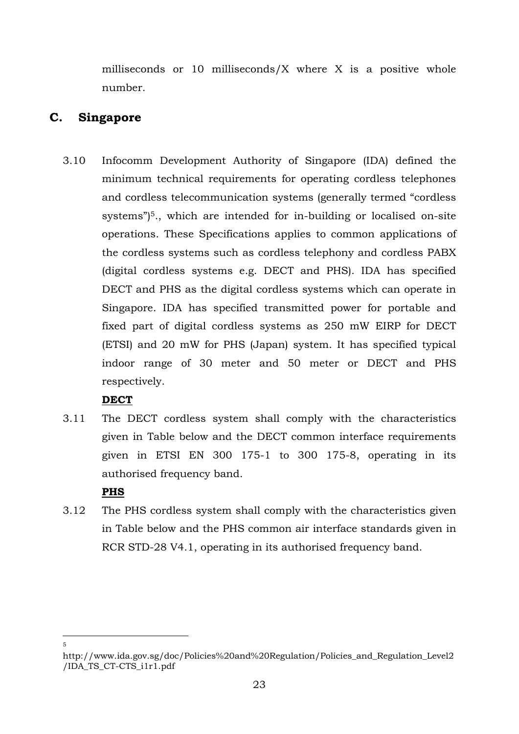milliseconds or 10 milliseconds/ $X$  where  $X$  is a positive whole number.

## **C. Singapore**

3.10 Infocomm Development Authority of Singapore (IDA) defined the minimum technical requirements for operating cordless telephones and cordless telecommunication systems (generally termed "cordless systems")<sup>5</sup>, which are intended for in-building or localised on-site operations. These Specifications applies to common applications of the cordless systems such as cordless telephony and cordless PABX (digital cordless systems e.g. DECT and PHS). IDA has specified DECT and PHS as the digital cordless systems which can operate in Singapore. IDA has specified transmitted power for portable and fixed part of digital cordless systems as 250 mW EIRP for DECT (ETSI) and 20 mW for PHS (Japan) system. It has specified typical indoor range of 30 meter and 50 meter or DECT and PHS respectively.

## **DECT**

3.11 The DECT cordless system shall comply with the characteristics given in Table below and the DECT common interface requirements given in ETSI EN 300 175-1 to 300 175-8, operating in its authorised frequency band.

## **PHS**

3.12 The PHS cordless system shall comply with the characteristics given in Table below and the PHS common air interface standards given in RCR STD-28 V4.1, operating in its authorised frequency band.

<sup>-</sup>5

http://www.ida.gov.sg/doc/Policies%20and%20Regulation/Policies\_and\_Regulation\_Level2 /IDA\_TS\_CT-CTS\_i1r1.pdf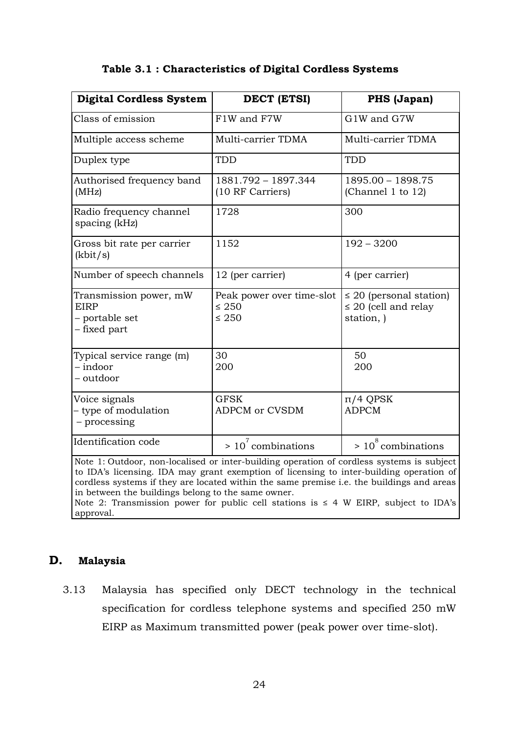| <b>Digital Cordless System</b>                                                                                                                                                                                                                                                   | DECT (ETSI)                                           | PHS (Japan)                                                             |
|----------------------------------------------------------------------------------------------------------------------------------------------------------------------------------------------------------------------------------------------------------------------------------|-------------------------------------------------------|-------------------------------------------------------------------------|
| Class of emission                                                                                                                                                                                                                                                                | F1W and F7W                                           | G1W and G7W                                                             |
| Multiple access scheme                                                                                                                                                                                                                                                           | Multi-carrier TDMA                                    | Multi-carrier TDMA                                                      |
| Duplex type                                                                                                                                                                                                                                                                      | TDD                                                   | TDD                                                                     |
| Authorised frequency band<br>(MHz)                                                                                                                                                                                                                                               | 1881.792 - 1897.344<br>(10 RF Carriers)               | 1895.00 - 1898.75<br>(Channel 1 to 12)                                  |
| Radio frequency channel<br>spacing (kHz)                                                                                                                                                                                                                                         | 1728                                                  | 300                                                                     |
| Gross bit rate per carrier<br>(kbit/s)                                                                                                                                                                                                                                           | 1152                                                  | $192 - 3200$                                                            |
| Number of speech channels                                                                                                                                                                                                                                                        | 12 (per carrier)                                      | 4 (per carrier)                                                         |
| Transmission power, mW<br><b>EIRP</b><br>- portable set<br>- fixed part                                                                                                                                                                                                          | Peak power over time-slot<br>$\leq 250$<br>$\leq 250$ | $\leq$ 20 (personal station)<br>$\leq$ 20 (cell and relay<br>station, ) |
| Typical service range (m)<br>$-$ indoor<br>- outdoor                                                                                                                                                                                                                             | 30<br>200                                             | 50<br>200                                                               |
| Voice signals<br>- type of modulation<br>- processing                                                                                                                                                                                                                            | <b>GFSK</b><br><b>ADPCM or CVSDM</b>                  | $\pi$ /4 QPSK<br><b>ADPCM</b>                                           |
| Identification code                                                                                                                                                                                                                                                              | $> 107$ combinations                                  | $> 10^8$ combinations                                                   |
| Note 1: Outdoor, non-localised or inter-building operation of cordless systems is subject<br>to IDA's licensing. IDA may grant exemption of licensing to inter-building operation of<br>eaudiasa sustana if thau ana lagatad within the same musules i a the buildings and anges |                                                       |                                                                         |

#### **Table 3.1 : Characteristics of Digital Cordless Systems**

cordless systems if they are located within the same premise i.e. the buildings and areas in between the buildings belong to the same owner. Note 2: Transmission power for public cell stations is  $\leq$  4 W EIRP, subject to IDA's approval.

#### **D. Malaysia**

3.13 Malaysia has specified only DECT technology in the technical specification for cordless telephone systems and specified 250 mW EIRP as Maximum transmitted power (peak power over time-slot).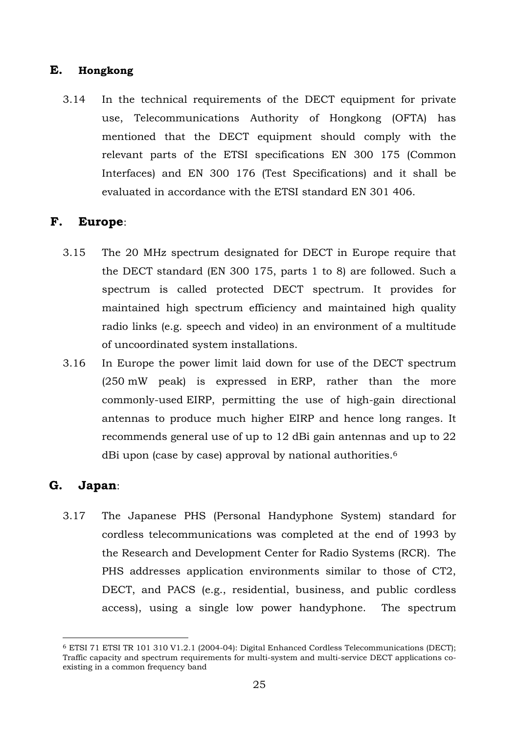### **E. Hongkong**

3.14 In the technical requirements of the DECT equipment for private use, Telecommunications Authority of Hongkong (OFTA) has mentioned that the DECT equipment should comply with the relevant parts of the ETSI specifications EN 300 175 (Common Interfaces) and EN 300 176 (Test Specifications) and it shall be evaluated in accordance with the ETSI standard EN 301 406.

### **F. Europe**:

- 3.15 The 20 MHz spectrum designated for DECT in Europe require that the DECT standard (EN 300 175, parts 1 to 8) are followed. Such a spectrum is called protected DECT spectrum. It provides for maintained high spectrum efficiency and maintained high quality radio links (e.g. speech and video) in an environment of a multitude of uncoordinated system installations.
- 3.16 In Europe the power limit laid down for use of the DECT spectrum (250 mW peak) is expressed in ERP, rather than the more commonly-used EIRP, permitting the use of high-gain directional antennas to produce much higher EIRP and hence long ranges. It recommends general use of up to 12 dBi gain antennas and up to 22 dBi upon (case by case) approval by national authorities.<sup>6</sup>

### **G. Japan**:

-

3.17 The Japanese PHS (Personal Handyphone System) standard for cordless telecommunications was completed at the end of 1993 by the Research and Development Center for Radio Systems (RCR). The PHS addresses application environments similar to those of CT2, DECT, and PACS (e.g., residential, business, and public cordless access), using a single low power handyphone. The spectrum

<sup>6</sup> ETSI 71 ETSI TR 101 310 V1.2.1 (2004-04): Digital Enhanced Cordless Telecommunications (DECT); Traffic capacity and spectrum requirements for multi-system and multi-service DECT applications coexisting in a common frequency band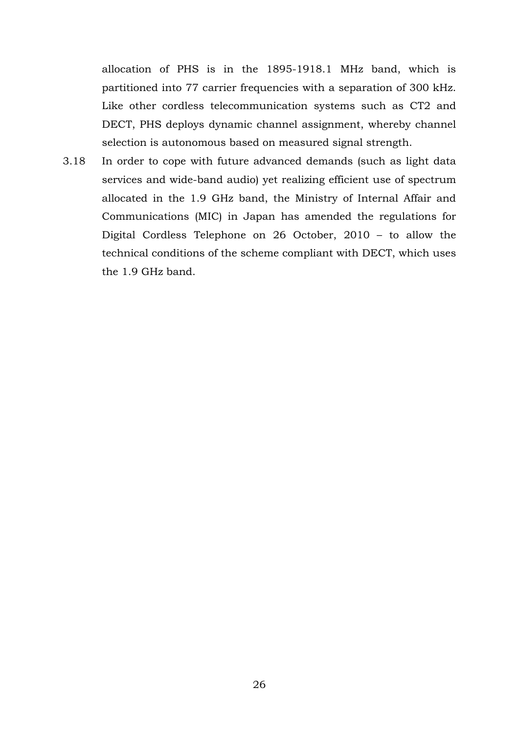allocation of PHS is in the 1895-1918.1 MHz band, which is partitioned into 77 carrier frequencies with a separation of 300 kHz. Like other cordless telecommunication systems such as CT2 and DECT, PHS deploys dynamic channel assignment, whereby channel selection is autonomous based on measured signal strength.

3.18 In order to cope with future advanced demands (such as light data services and wide-band audio) yet realizing efficient use of spectrum allocated in the 1.9 GHz band, the Ministry of Internal Affair and Communications (MIC) in Japan has amended the regulations for Digital Cordless Telephone on 26 October, 2010 – to allow the technical conditions of the scheme compliant with DECT, which uses the 1.9 GHz band.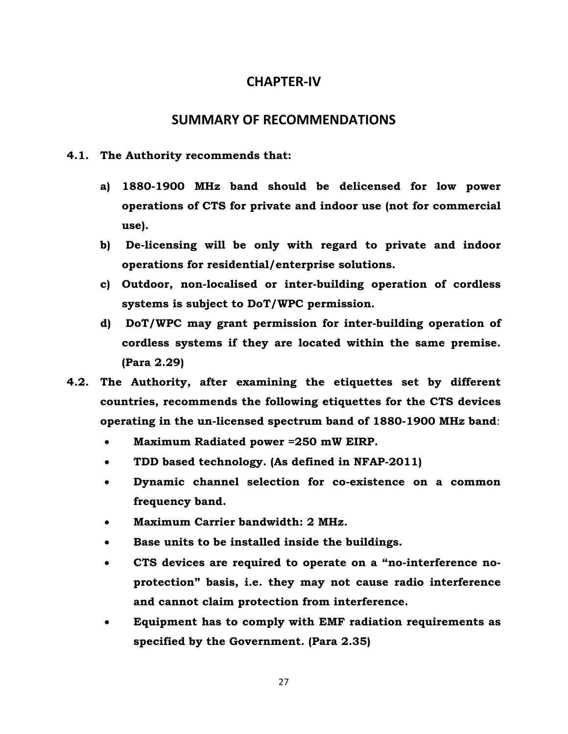### **CHAPTER‐IV**

### **SUMMARY OF RECOMMENDATIONS**

- **4.1. The Authority recommends that:** 
	- **a) 1880-1900 MHz band should be delicensed for low power operations of CTS for private and indoor use (not for commercial use).**
	- **b) De-licensing will be only with regard to private and indoor operations for residential/enterprise solutions.**
	- **c) Outdoor, non-localised or inter-building operation of cordless systems is subject to DoT/WPC permission.**
	- **d) DoT/WPC may grant permission for inter-building operation of cordless systems if they are located within the same premise. (Para 2.29)**
- **4.2. The Authority, after examining the etiquettes set by different countries, recommends the following etiquettes for the CTS devices operating in the un-licensed spectrum band of 1880-1900 MHz band**:
	- **Maximum Radiated power =250 mW EIRP.**
	- **TDD based technology. (As defined in NFAP-2011)**
	- **Dynamic channel selection for co-existence on a common frequency band.**
	- **Maximum Carrier bandwidth: 2 MHz.**
	- **Base units to be installed inside the buildings.**
	- **CTS devices are required to operate on a "no-interference noprotection" basis, i.e. they may not cause radio interference and cannot claim protection from interference.**
	- **Equipment has to comply with EMF radiation requirements as specified by the Government. (Para 2.35)**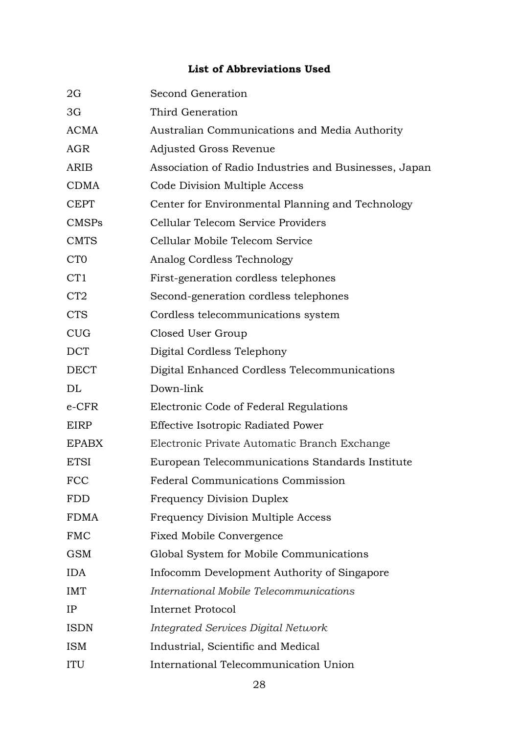## **List of Abbreviations Used**

| 2G               | Second Generation                                     |
|------------------|-------------------------------------------------------|
| 3G               | Third Generation                                      |
| <b>ACMA</b>      | Australian Communications and Media Authority         |
| AGR              | Adjusted Gross Revenue                                |
| ARIB             | Association of Radio Industries and Businesses, Japan |
| <b>CDMA</b>      | Code Division Multiple Access                         |
| <b>CEPT</b>      | Center for Environmental Planning and Technology      |
| <b>CMSPs</b>     | Cellular Telecom Service Providers                    |
| <b>CMTS</b>      | Cellular Mobile Telecom Service                       |
| C <sub>T</sub> O | Analog Cordless Technology                            |
| CT <sub>1</sub>  | First-generation cordless telephones                  |
| CT <sub>2</sub>  | Second-generation cordless telephones                 |
| <b>CTS</b>       | Cordless telecommunications system                    |
| <b>CUG</b>       | Closed User Group                                     |
| <b>DCT</b>       | Digital Cordless Telephony                            |
| <b>DECT</b>      | Digital Enhanced Cordless Telecommunications          |
| DL               | Down-link                                             |
| $e$ -CFR         | Electronic Code of Federal Regulations                |
| EIRP             | Effective Isotropic Radiated Power                    |
| <b>EPABX</b>     | Electronic Private Automatic Branch Exchange          |
| <b>ETSI</b>      | European Telecommunications Standards Institute       |
| <b>FCC</b>       | <b>Federal Communications Commission</b>              |
| <b>FDD</b>       | <b>Frequency Division Duplex</b>                      |
| <b>FDMA</b>      | <b>Frequency Division Multiple Access</b>             |
| <b>FMC</b>       | <b>Fixed Mobile Convergence</b>                       |
| <b>GSM</b>       | Global System for Mobile Communications               |
| <b>IDA</b>       | Infocomm Development Authority of Singapore           |
| <b>IMT</b>       | International Mobile Telecommunications               |
| IP               | <b>Internet Protocol</b>                              |
| <b>ISDN</b>      | <b>Integrated Services Digital Network</b>            |
| <b>ISM</b>       | Industrial, Scientific and Medical                    |
| ITU              | International Telecommunication Union                 |